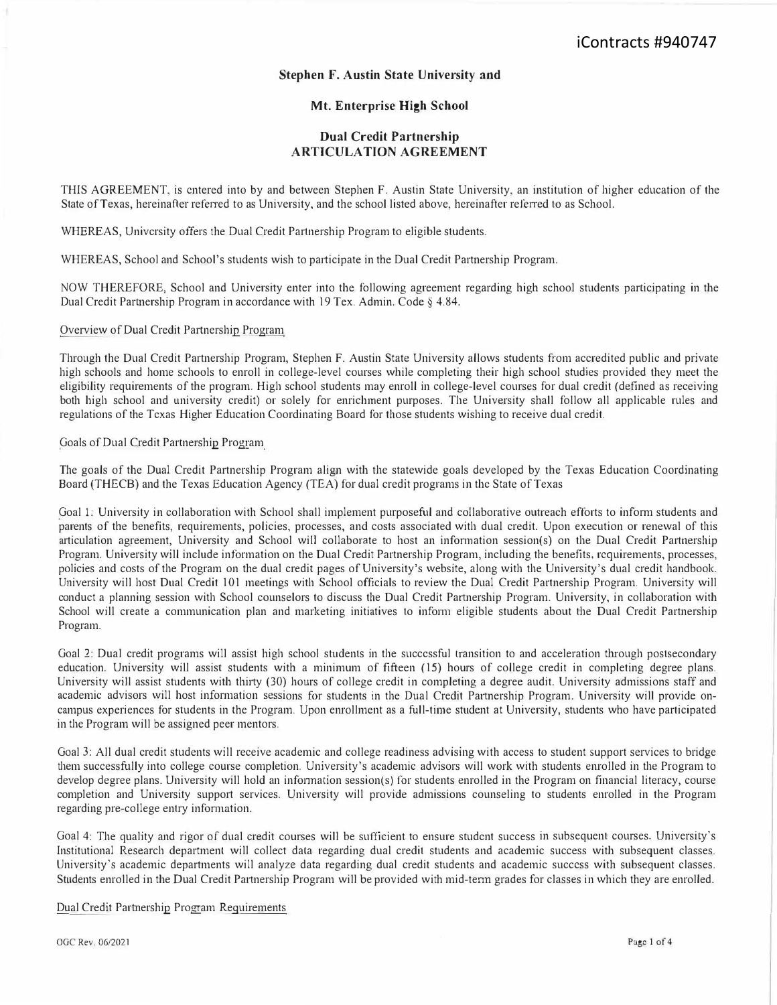## **Stephen F. Austin State University and**

## **Mt. Enterprise High School**

## **Dual Credit Partnership ARTICULATION AGREEMENT**

THIS AGREEMENT, is entered into by and between Stephen F. Austin State University, an institution of higher education of the State of Texas, hereinafter referred to as University, and the school listed above, hereinafter referred to as School.

WHEREAS, University offers the Dual Credit Partnership Program to eligible students.

WHEREAS, School and School's students wish to participate in the Dual Credit Partnership Program.

NOW THEREFORE, School and University enter into the following agreement regarding high school students participating in the Dual Credit Partnership Program in accordance with 19 Tex. Admin. Code§ 4.84.

Overview of Dual Credit Partnership Program

Through the Dual Credit Partnership Program, Stephen F. Austin State University allows students from accredited public and private high schools and home schools to enroll in college-level courses while completing their high school studies provided they meet the eligibility requirements of the program. High school students may enroll in college-level courses for dual credit (defined as receiving both high school and university credit) or solely for enrichment purposes. The University shall follow all applicable rules and regulations of the Texas Higher Education Coordinating Board for those students wishing to receive dual credit.

Goals of Dual Credit Partnership Program

The goals of the Dual Credit Partnership Program align with the statewide goals developed by the Texas Education Coordinating Board (THECB) and the Texas Education Agency (TEA) for dual credit programs in the State of Texas

Goal 1: University in collaboration with School shall implement purposeful and collaborative outreach efforts to inform students and parents of the benefits, requirements, policies, processes, and costs associated with dual credit. Upon execution or renewal of this articulation agreement, University and School will collaborate to host an information session(s) on the Dual Credit Partnership Program. University will include information on the Dual Credit Partnership Program, including the benefits, requirements, processes, policies and costs of the Program on the dual credit pages of University's website, along with the University's dual credit handbook. University will host Dual Credit 101 meetings with School officials to review the Dual Credit Partnership Program. University will conduct a planning session with School counselors to discuss the Dual Credit Partnership Program. University, in collaboration with School will create a communication plan and marketing initiatives to inform eligible students about the Dual Credit Partnership Program.

Goal 2: Dual credit programs will assist high school students in the successful transition to and acceleration through postsecondary education. University will assist students with a minimum of fifteen ( 15) hours of college credit in completing degree plans. University will assist students with thirty (30) hours of college credit in completing a degree audit. University admissions staff and academic advisors will host information sessions for students in the Dual Credit Paitnership Program. University will provide oncampus experiences for students in the Program. Upon enrollment as a full-time student at University, students who have participated in the Program will be assigned peer mentors.

Goal 3: All dual credit students will receive academic and college readiness advising with access to student support services to bridge them successfully into college course completion. University's academic advisors will work with students enrolled in the Program to develop degree plans. University will hold an information session(s) for students enrolled in the Program on financial literacy, course completion and University support services. University will provide admissions counseling to students enrolled in the Program regarding pre-college entry information.

Goal 4: The quality and rigor of dual credit courses will be sufficient to ensure student success in subsequent courses. University's Institutional Research department will collect data regarding dual credit students and academic success with subsequent classes. University's academic departments will analyze data regarding dual credit students and academic success with subsequent classes. Students enrolled in the Dual Credit Partnership Program will be provided with mid-term grades for classes in which they are enrolled.

Dual Credit Partnership Program Requirements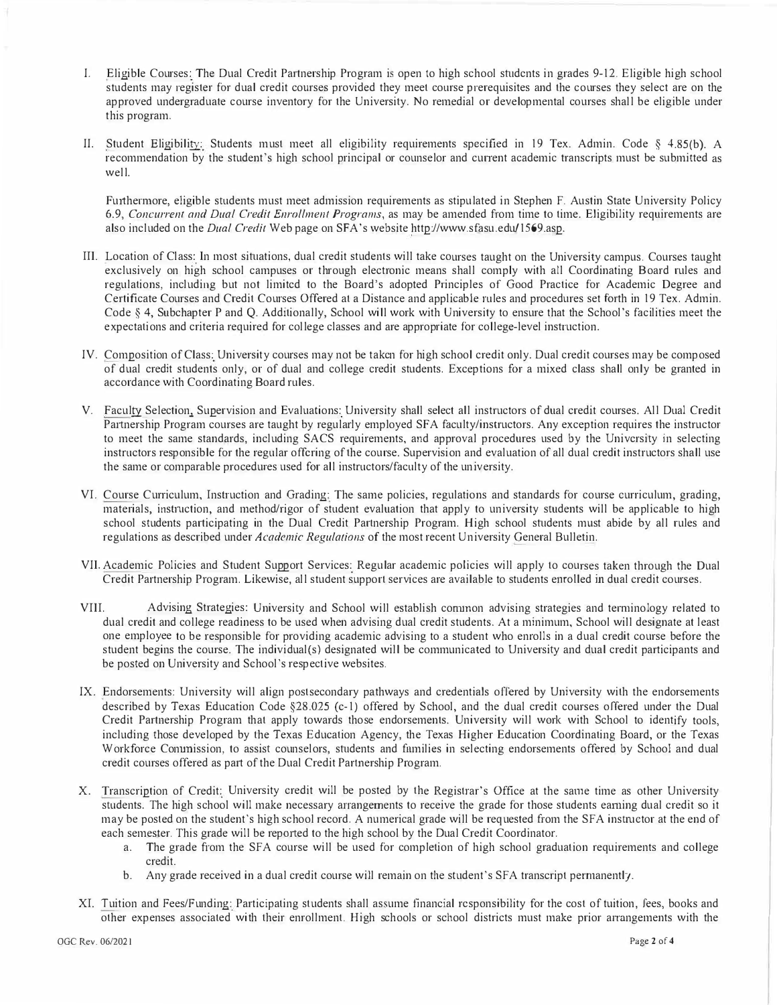- I. Eligible Courses: The Dual Credit Partnership Program is open to high school students in grades 9-12. Eligible high school students may register for dual credit courses provided they meet course prerequisites and the courses they select are on the approved undergraduate course inventory for the University. No remedial or developmental courses shall be eligible under <sup>t</sup>*h*is *p*r**<sup>o</sup>**gram.
- II. Student Eligibility: Students must meet all eligibility requirements specified in 19 Tex. Admin. Code § 4.85(b). A recommendation by the student's high school principal or counselor and current academic transcripts must be submitted as *<sup>w</sup>*<sup>e</sup>*ll*.

Furthermore, eligible students must meet admission requirements as stipulated in Stephen F. Austin State University Policy 6.9, *Concurrent and Dual Credit Enrollment Programs,* as may *b*e amended fr**o**m time t**o t**ime. *E*ligi*b*ility requirements are als**o** inc*lu*ded **o**n t*h*e *Dual Credit* We*b p*age **<sup>o</sup>**n SFA 's website *h*ttp://*<sup>w</sup>*w*w.*sfas*u*.ed*u*/*1*569.asp.

- III. Location of Class: In most situations, dual credit students will take courses taught on the University campus. Courses taught exclusively on high school campuses or through electronic means shall comply with all Coordinating Board rules and regulations, including but not limited to the Board's adopted Principles of Good Practice for Academic Degree and Certificate Courses and Credit Courses Offered at a Distance and applicable rules and procedures set forth in 19 Tex. Admin. Code § 4, Subchapter P and Q. Additionally, School will work with University to ensure that the School's facilities meet the expectations and criteria required for college classes and are appropriate for college-level instruction.
- IV. Composition of Class: University courses may not be taken for high school credit only. Dual credit courses may be composed of dual credit students only, or of dual and college credit students. Exceptions for a mixed class shall only be granted in acc**o**rdance wit*h* C**oo**rdinating B**o**ard rules.
- V. Faculty Selection, Supervision and Evaluations: University shall select all instructors of dual credit courses. All Dual Credit Partnership Program courses are taught by regularly employed SFA faculty/instructors. Any exception requires the instructor <sup>t</sup>**o** meet t*h*e same standards, inc*lu*ding SACS req*u*irements, and a*pp*r**o***v*<sup>a</sup>*l p*r**<sup>o</sup>**cedures *u*sed by t*h*e Uni*ve*rsity in se*l*ecting instructors responsible for the regular offering of the course. Supervision and evaluation of all dual credit instructors shall use <sup>t</sup>*h*e same **o**r c**o**m*p*ara*bl*e *p*r**<sup>o</sup>**ced*u*res *u*sed for al*l* instruct**o**rs/facu*l*ty **o**f t*h*<sup>e</sup>*u*ni*v*ersity.
- VI. Course Curriculum, Instruction and Grading: The same policies, regulations and standards for course curriculum, grading, materials, instruction, and method/rigor of student evaluation that apply to university students will be applicable to high school students participating in the Dual Credit Partnership Program. High school students must abide by all rules and reg*ul*ati**o**ns as descri*b*ed *u*nder *Academic Regulations* **o**f t*h*e m**o**st recent Uni*v*ersity Genera*l* B*ull*etin.
- VII. Academic Policies and Student Support Services: Regular academic policies will apply to courses taken through the Dual Credit Partnership Program. Likewise, all student support services are available to students enrolled in dual credit courses.
- VIII. Advising Strategies: University and School will establish common advising strategies and terminology related to dual credit and college readiness to be used when advising dual credit students. At a minimum, School will designate at least one employee to be responsible for providing academic advising to a student who enrolls in a dual credit course before the student begins the course. The individual(s) designated will be communicated to University and dual credit participants and *b*e *p***<sup>o</sup>**sted **o**n Un*iv*ersity and Sc*h***oo***l*'s res*p*ec**t**i*v*e we*b*sites*.*
- IX. Endorsements: University will align postsecondary pathways and credentials offered by University with the endorsements described by Texas Education Code §28.025 (c-1) offered by School, and the dual credit courses offered under the Dual Credit Partnership Program that apply towards those endorsements. University will work with School to identify tools, including those developed by the Texas Education Agency, the Texas Higher Education Coordinating Board, or the Texas Workforce Comunission, to assist counselors, students and families in selecting endorsements offered by School and dual credit c**<sup>o</sup>***u*rses **<sup>o</sup>**ffered as *p*art **o**f t*h*e D*u*a*l* Credit Parmers*h*i*p* Pr**o**gram*.*
- X. Transcripti**<sup>o</sup>**n **<sup>o</sup>**f Credit: Uni*v*ersity credit wil*l b*e *p***<sup>o</sup>**sted by **t***h*e Regis**<sup>t</sup>**rar's Office at t*h*e same time as **o**t*h*er Uni*v*ersity students. The high school will make necessary arrangements to receive the grade for those students earning dual credit so it may be posted on the student's high school record. A numerical grade will be requested from the SFA instructor at the end of eac*h* semester*.* T*h*is grade wil*l b*e re*p*01ted t**o** t*h*e *h*ig*h* sc*h***oo***l b*y t*h*e D*u*a*l* Credit C**oo**rdinat**o**r.
	- a. The grade from the SFA course will be used for completion of high school graduation requirements and college credit.
	- *b.* Any grade received in a dual credit course will remain on the student's SFA transcript permanently.
- XI. Tuition and Fees/Funding: Participating students shall assume financial responsibility for the cost of tuition, fees, books and other expenses associated with their enrollment. High schools or school districts must make prior arrangements with the